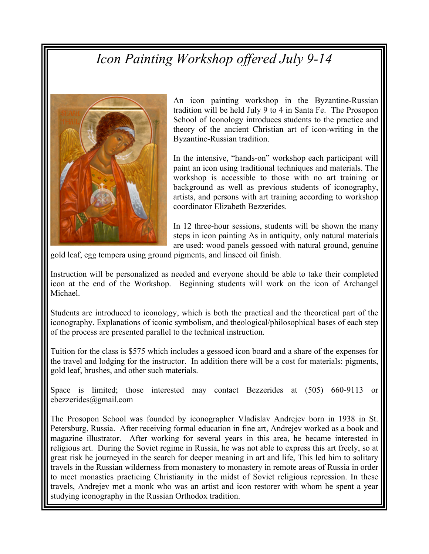## *Icon Painting Workshop offered July 9-14*



An icon painting workshop in the Byzantine-Russian tradition will be held July 9 to 4 in Santa Fe. The Prosopon School of Iconology introduces students to the practice and theory of the ancient Christian art of icon-writing in the Byzantine-Russian tradition.

In the intensive, "hands-on" workshop each participant will paint an icon using traditional techniques and materials. The workshop is accessible to those with no art training or background as well as previous students of iconography, artists, and persons with art training according to workshop coordinator Elizabeth Bezzerides.

In 12 three-hour sessions, students will be shown the many steps in icon painting As in antiquity, only natural materials are used: wood panels gessoed with natural ground, genuine

gold leaf, egg tempera using ground pigments, and linseed oil finish.

Instruction will be personalized as needed and everyone should be able to take their completed icon at the end of the Workshop. Beginning students will work on the icon of Archangel Michael.

Students are introduced to iconology, which is both the practical and the theoretical part of the iconography. Explanations of iconic symbolism, and theological/philosophical bases of each step of the process are presented parallel to the technical instruction.

Tuition for the class is \$575 which includes a gessoed icon board and a share of the expenses for the travel and lodging for the instructor. In addition there will be a cost for materials: pigments, gold leaf, brushes, and other such materials.

Space is limited; those interested may contact Bezzerides at (505) 660-9113 or ebezzerides@gmail.com

The Prosopon School was founded by iconographer Vladislav Andrejev born in 1938 in St. Petersburg, Russia. After receiving formal education in fine art, Andrejev worked as a book and magazine illustrator. After working for several years in this area, he became interested in religious art. During the Soviet regime in Russia, he was not able to express this art freely, so at great risk he journeyed in the search for deeper meaning in art and life, This led him to solitary travels in the Russian wilderness from monastery to monastery in remote areas of Russia in order to meet monastics practicing Christianity in the midst of Soviet religious repression. In these travels, Andrejev met a monk who was an artist and icon restorer with whom he spent a year studying iconography in the Russian Orthodox tradition.